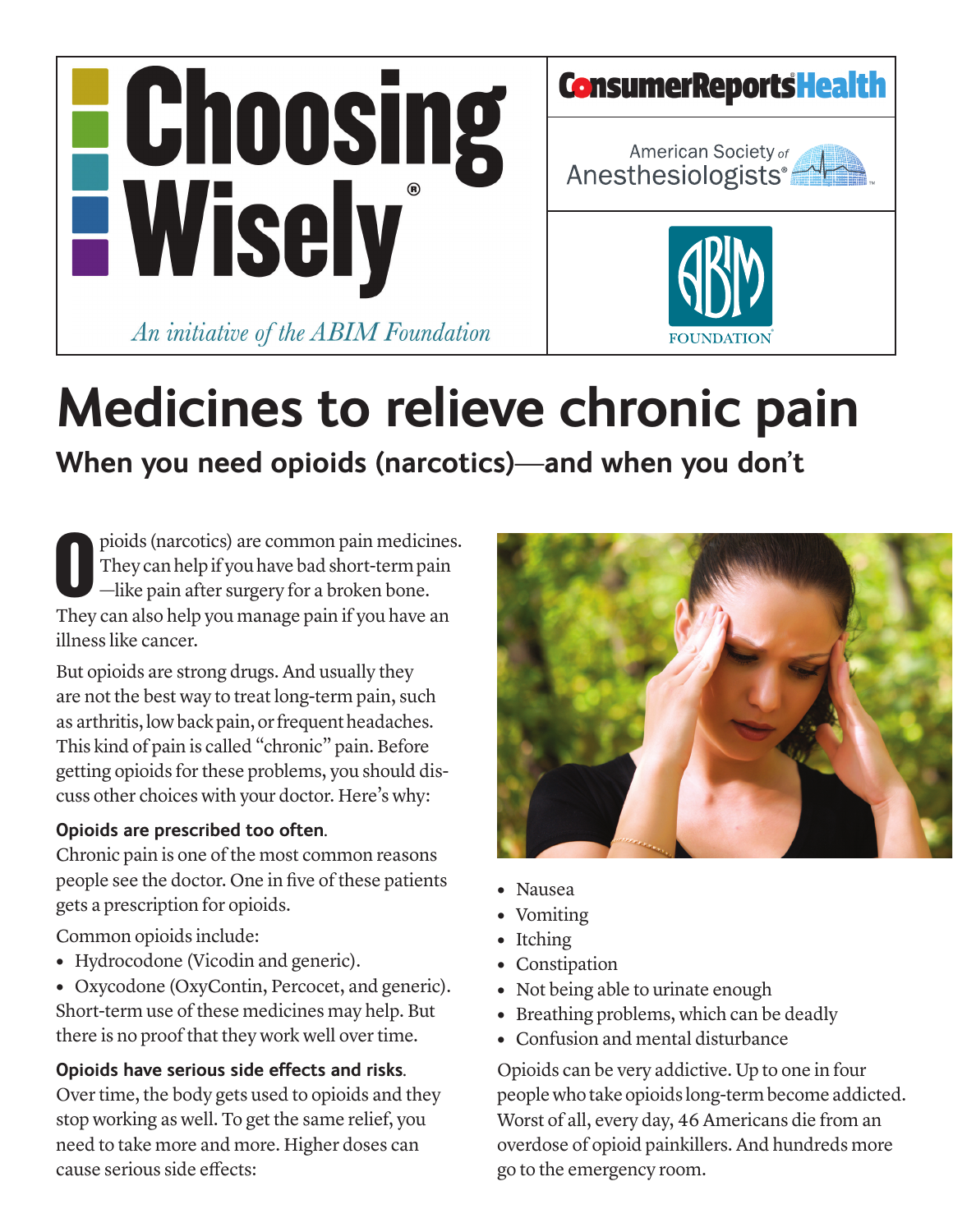



# **Medicines to relieve chronic pain**

**When you need opioids (narcotics)—and when you don't**

pioids (narcotics) are common pain medicines. They can help if you have bad short-term pain  $\blacksquare$  -like pain after surgery for a broken bone. pioids (narcotics) are common pain medicines<br>They can help if you have bad short-term pain<br>—like pain after surgery for a broken bone.<br>They can also help you manage pain if you have an illness like cancer.

But opioids are strong drugs. And usually they are not the best way to treat long-term pain, such as arthritis, low back pain, or frequent headaches. This kind of pain is called "chronic" pain. Before getting opioids for these problems, you should discuss other choices with your doctor. Here's why:

#### **Opioids are prescribed too often.**

Chronic pain is one of the most common reasons people see the doctor. One in five of these patients gets a prescription for opioids.

Common opioids include:

- **•** Hydrocodone (Vicodin and generic).
- **•** Oxycodone (OxyContin, Percocet, and generic). Short-term use of these medicines may help. But there is no proof that they work well over time.

#### **Opioids have serious side effects and risks.**

Over time, the body gets used to opioids and they stop working as well. To get the same relief, you need to take more and more. Higher doses can cause serious side effects:



- **•** Nausea
- **•** Vomiting
- **•** Itching
- **•** Constipation
- Not being able to urinate enough
- **•** Breathing problems, which can be deadly
- **•** Confusion and mental disturbance

Opioids can be very addictive. Up to one in four people who take opioids long-term become addicted. Worst of all, every day, 46 Americans die from an overdose of opioid painkillers. And hundreds more go to the emergency room.